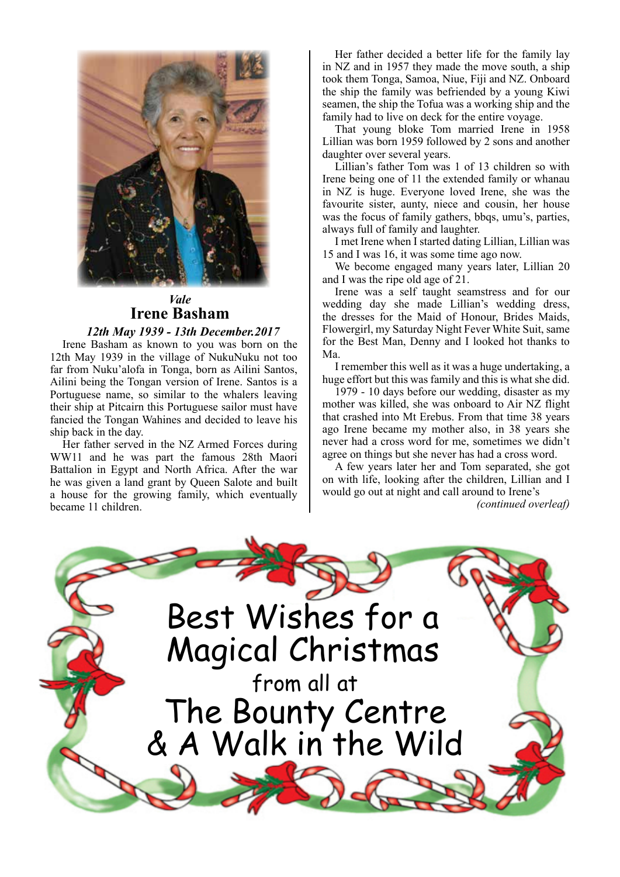

# *Vale* **Irene Basham**

 *12th May 1939 - 13th December.2017*

Irene Basham as known to you was born on the 12th May 1939 in the village of NukuNuku not too far from Nuku'alofa in Tonga, born as Ailini Santos, Ailini being the Tongan version of Irene. Santos is a Portuguese name, so similar to the whalers leaving their ship at Pitcairn this Portuguese sailor must have fancied the Tongan Wahines and decided to leave his ship back in the day.

Her father served in the NZ Armed Forces during WW11 and he was part the famous 28th Maori Battalion in Egypt and North Africa. After the war he was given a land grant by Queen Salote and built a house for the growing family, which eventually became 11 children.

Her father decided a better life for the family lay in NZ and in 1957 they made the move south, a ship took them Tonga, Samoa, Niue, Fiji and NZ. Onboard the ship the family was befriended by a young Kiwi seamen, the ship the Tofua was a working ship and the family had to live on deck for the entire voyage.

That young bloke Tom married Irene in 1958 Lillian was born 1959 followed by 2 sons and another daughter over several years.

Lillian's father Tom was 1 of 13 children so with Irene being one of 11 the extended family or whanau in NZ is huge. Everyone loved Irene, she was the favourite sister, aunty, niece and cousin, her house was the focus of family gathers, bbqs, umu's, parties, always full of family and laughter.

I met Irene when I started dating Lillian, Lillian was 15 and I was 16, it was some time ago now.

We become engaged many years later, Lillian 20 and I was the ripe old age of 21.

Irene was a self taught seamstress and for our wedding day she made Lillian's wedding dress, the dresses for the Maid of Honour, Brides Maids, Flowergirl, my Saturday Night Fever White Suit, same for the Best Man, Denny and I looked hot thanks to Ma.

I remember this well as it was a huge undertaking, a huge effort but this was family and this is what she did.

1979 - 10 days before our wedding, disaster as my mother was killed, she was onboard to Air NZ flight that crashed into Mt Erebus. From that time 38 years ago Irene became my mother also, in 38 years she never had a cross word for me, sometimes we didn't agree on things but she never has had a cross word.

A few years later her and Tom separated, she got on with life, looking after the children, Lillian and I would go out at night and call around to Irene's *(continued overleaf)*

Best Wishes for a Magical Christmas from all at The Bounty Centre & A Walk in the Wild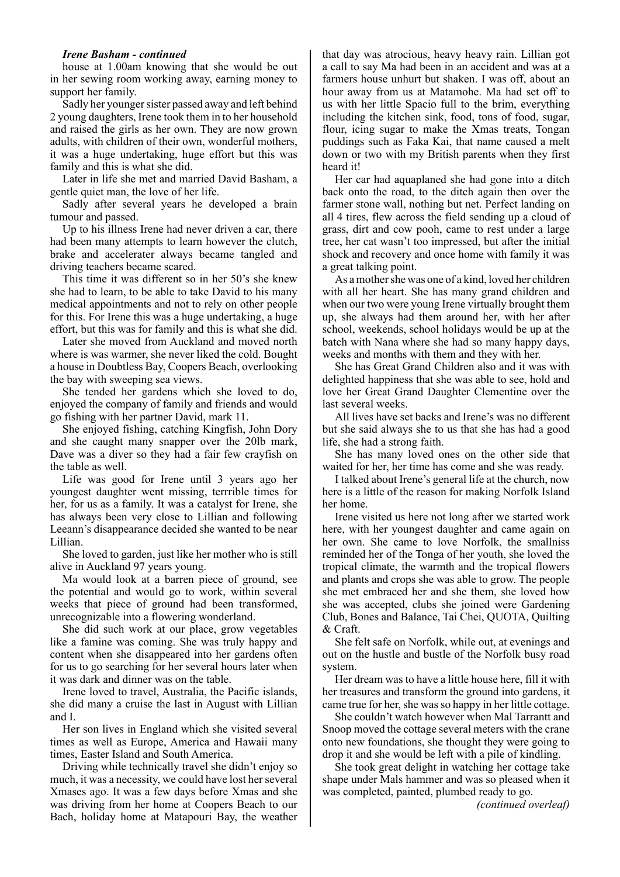#### *Irene Basham - continued*

house at 1.00am knowing that she would be out in her sewing room working away, earning money to support her family.

Sadly her younger sister passed away and left behind 2 young daughters, Irene took them in to her household and raised the girls as her own. They are now grown adults, with children of their own, wonderful mothers, it was a huge undertaking, huge effort but this was family and this is what she did.

Later in life she met and married David Basham, a gentle quiet man, the love of her life.

Sadly after several years he developed a brain tumour and passed.

Up to his illness Irene had never driven a car, there had been many attempts to learn however the clutch, brake and accelerater always became tangled and driving teachers became scared.

This time it was different so in her 50's she knew she had to learn, to be able to take David to his many medical appointments and not to rely on other people for this. For Irene this was a huge undertaking, a huge effort, but this was for family and this is what she did.

Later she moved from Auckland and moved north where is was warmer, she never liked the cold. Bought a house in Doubtless Bay, Coopers Beach, overlooking the bay with sweeping sea views.

She tended her gardens which she loved to do, enjoyed the company of family and friends and would go fishing with her partner David, mark 11.

She enjoyed fishing, catching Kingfish, John Dory and she caught many snapper over the 20lb mark, Dave was a diver so they had a fair few crayfish on the table as well.

Life was good for Irene until 3 years ago her youngest daughter went missing, terrrible times for her, for us as a family. It was a catalyst for Irene, she has always been very close to Lillian and following Leeann's disappearance decided she wanted to be near Lillian.

She loved to garden, just like her mother who is still alive in Auckland 97 years young.

Ma would look at a barren piece of ground, see the potential and would go to work, within several weeks that piece of ground had been transformed, unrecognizable into a flowering wonderland.

She did such work at our place, grow vegetables like a famine was coming. She was truly happy and content when she disappeared into her gardens often for us to go searching for her several hours later when it was dark and dinner was on the table.

Irene loved to travel, Australia, the Pacific islands, she did many a cruise the last in August with Lillian and I.

Her son lives in England which she visited several times as well as Europe, America and Hawaii many times, Easter Island and South America.

Driving while technically travel she didn't enjoy so much, it was a necessity, we could have lost her several Xmases ago. It was a few days before Xmas and she was driving from her home at Coopers Beach to our Bach, holiday home at Matapouri Bay, the weather

that day was atrocious, heavy heavy rain. Lillian got a call to say Ma had been in an accident and was at a farmers house unhurt but shaken. I was off, about an hour away from us at Matamohe. Ma had set off to us with her little Spacio full to the brim, everything including the kitchen sink, food, tons of food, sugar, flour, icing sugar to make the Xmas treats, Tongan puddings such as Faka Kai, that name caused a melt down or two with my British parents when they first heard it!

Her car had aquaplaned she had gone into a ditch back onto the road, to the ditch again then over the farmer stone wall, nothing but net. Perfect landing on all 4 tires, flew across the field sending up a cloud of grass, dirt and cow pooh, came to rest under a large tree, her cat wasn't too impressed, but after the initial shock and recovery and once home with family it was a great talking point.

As a mother she was one of a kind, loved her children with all her heart. She has many grand children and when our two were young Irene virtually brought them up, she always had them around her, with her after school, weekends, school holidays would be up at the batch with Nana where she had so many happy days, weeks and months with them and they with her.

She has Great Grand Children also and it was with delighted happiness that she was able to see, hold and love her Great Grand Daughter Clementine over the last several weeks.

All lives have set backs and Irene's was no different but she said always she to us that she has had a good life, she had a strong faith.

She has many loved ones on the other side that waited for her, her time has come and she was ready.

I talked about Irene's general life at the church, now here is a little of the reason for making Norfolk Island her home.

Irene visited us here not long after we started work here, with her youngest daughter and came again on her own. She came to love Norfolk, the smallniss reminded her of the Tonga of her youth, she loved the tropical climate, the warmth and the tropical flowers and plants and crops she was able to grow. The people she met embraced her and she them, she loved how she was accepted, clubs she joined were Gardening Club, Bones and Balance, Tai Chei, QUOTA, Quilting & Craft.

She felt safe on Norfolk, while out, at evenings and out on the hustle and bustle of the Norfolk busy road system.

Her dream was to have a little house here, fill it with her treasures and transform the ground into gardens, it came true for her, she was so happy in her little cottage.

She couldn't watch however when Mal Tarrantt and Snoop moved the cottage several meters with the crane onto new foundations, she thought they were going to drop it and she would be left with a pile of kindling.

She took great delight in watching her cottage take shape under Mals hammer and was so pleased when it was completed, painted, plumbed ready to go.

*(continued overleaf)*